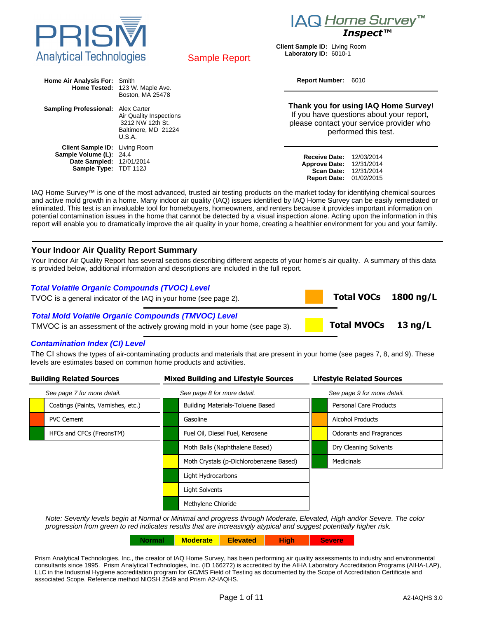

# *Inspect™*

 **Total VOCs 1800 ng/L**

 **Total MVOCs 13 ng/L**





Sample Report

**Report Number:** 6010

| Home Air Analysis For: Smith                                                                                         | Home Tested: 123 W. Maple Ave.                                                                   | Report Number: 6010                                                                                                                                  |  |  |
|----------------------------------------------------------------------------------------------------------------------|--------------------------------------------------------------------------------------------------|------------------------------------------------------------------------------------------------------------------------------------------------------|--|--|
| <b>Sampling Professional:</b> Alex Carter                                                                            | Boston, MA 25478<br>Air Quality Inspections<br>3212 NW 12th St.<br>Baltimore, MD 21224<br>U.S.A. | Thank you for using IAQ Home Survey!<br>If you have questions about your report,<br>please contact your service provider who<br>performed this test. |  |  |
| <b>Client Sample ID:</b> Living Room<br>Sample Volume (L): 24.4<br>Date Sampled: 12/01/2014<br>Sample Type: TDT 112J |                                                                                                  | <b>Receive Date:</b><br>12/03/2014<br><b>Approve Date:</b><br>12/31/2014<br><b>Scan Date:</b><br>12/31/2014<br><b>Report Date: 01/02/2015</b>        |  |  |

IAQ Home Survey™ is one of the most advanced, trusted air testing products on the market today for identifying chemical sources and active mold growth in a home. Many indoor air quality (IAQ) issues identified by IAQ Home Survey can be easily remediated or eliminated. This test is an invaluable tool for homebuyers, homeowners, and renters because it provides important information on potential contamination issues in the home that cannot be detected by a visual inspection alone. Acting upon the information in this report will enable you to dramatically improve the air quality in your home, creating a healthier environment for you and your family.

#### **Your Indoor Air Quality Report Summary**

Your Indoor Air Quality Report has several sections describing different aspects of your home's air quality. A summary of this data is provided below, additional information and descriptions are included in the full report.

#### **Total Volatile Organic Compounds (TVOC) Level**

TVOC is a general indicator of the IAQ in your home (see page 2).

#### **Total Mold Volatile Organic Compounds (TMVOC) Level**

TMVOC is an assessment of the actively growing mold in your home (see page 3).

#### **Contamination Index (CI) Level**

The CI shows the types of air-contaminating products and materials that are present in your home (see pages 7, 8, and 9). These levels are estimates based on common home products and activities.

| <b>Building Related Sources</b> |                                    |                             | <b>Mixed Building and Lifestyle Sources</b> | <b>Lifestyle Related Sources</b> |                             |  |
|---------------------------------|------------------------------------|-----------------------------|---------------------------------------------|----------------------------------|-----------------------------|--|
| See page 7 for more detail.     |                                    | See page 8 for more detail. |                                             |                                  | See page 9 for more detail. |  |
|                                 | Coatings (Paints, Varnishes, etc.) |                             | Building Materials-Toluene Based            |                                  | Personal Care Products      |  |
|                                 | <b>PVC Cement</b>                  |                             | Gasoline                                    |                                  | <b>Alcohol Products</b>     |  |
|                                 | HFCs and CFCs (FreonsTM)           |                             | Fuel Oil, Diesel Fuel, Kerosene             |                                  | Odorants and Fragrances     |  |
|                                 |                                    |                             | Moth Balls (Naphthalene Based)              |                                  | Dry Cleaning Solvents       |  |
|                                 |                                    |                             | Moth Crystals (p-Dichlorobenzene Based)     |                                  | <b>Medicinals</b>           |  |
|                                 |                                    |                             | Light Hydrocarbons                          |                                  |                             |  |
|                                 |                                    |                             | Light Solvents                              |                                  |                             |  |
|                                 |                                    |                             | Methylene Chloride                          |                                  |                             |  |

Note: Severity levels begin at Normal or Minimal and progress through Moderate, Elevated, High and/or Severe. The color progression from green to red indicates results that are increasingly atypical and suggest potentially higher risk.

**Normal Moderate Elevated High Severe**

Prism Analytical Technologies, Inc., the creator of IAQ Home Survey, has been performing air quality assessments to industry and environmental consultants since 1995. Prism Analytical Technologies, Inc. (ID 166272) is accredited by the AIHA Laboratory Accreditation Programs (AIHA-LAP), LLC in the Industrial Hygiene accreditation program for GC/MS Field of Testing as documented by the Scope of Accreditation Certificate and associated Scope. Reference method NIOSH 2549 and Prism A2-IAQHS.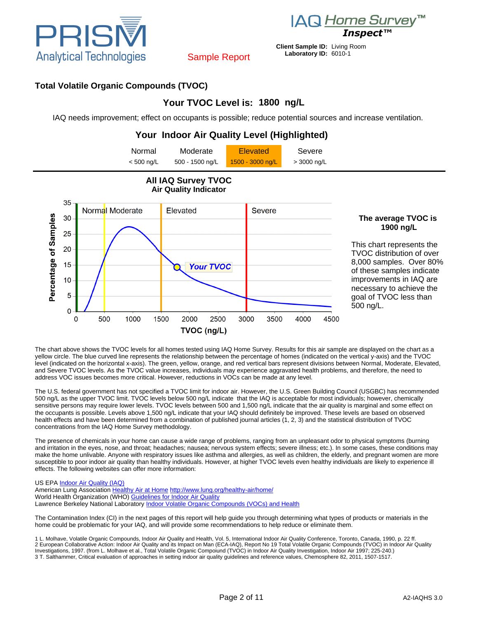

*IAQ Home Survey*<sup>™</sup><br>*Inspect*™

# **Total Volatile Organic Compounds (TVOC)**

# **Your TVOC Level is: 1800 ng/L**

Sample Report

IAQ needs improvement; effect on occupants is possible; reduce potential sources and increase ventilation.



The chart above shows the TVOC levels for all homes tested using IAQ Home Survey. Results for this air sample are displayed on the chart as a yellow circle. The blue curved line represents the relationship between the percentage of homes (indicated on the vertical y-axis) and the TVOC level (indicated on the horizontal x-axis). The green, yellow, orange, and red vertical bars represent divisions between Normal, Moderate, Elevated, and Severe TVOC levels. As the TVOC value increases, individuals may experience aggravated health problems, and therefore, the need to address VOC issues becomes more critical. However, reductions in VOCs can be made at any level.

The U.S. federal government has not specified a TVOC limit for indoor air. However, the U.S. Green Building Council (USGBC) has recommended 500 ng/L as the upper TVOC limit. TVOC levels below 500 ng/L indicate that the IAQ is acceptable for most individuals; however, chemically sensitive persons may require lower levels. TVOC levels between 500 and 1,500 ng/L indicate that the air quality is marginal and some effect on the occupants is possible. Levels above 1,500 ng/L indicate that your IAQ should definitely be improved. These levels are based on observed health effects and have been determined from a combination of published journal articles (1, 2, 3) and the statistical distribution of TVOC concentrations from the IAQ Home Survey methodology.

The presence of chemicals in your home can cause a wide range of problems, ranging from an unpleasant odor to physical symptoms (burning and irritation in the eyes, nose, and throat; headaches; nausea; nervous system effects; severe illness; etc.). In some cases, these conditions may make the home unlivable. Anyone with respiratory issues like asthma and allergies, as well as children, the elderly, and pregnant women are more susceptible to poor indoor air quality than healthy individuals. However, at higher TVOC levels even healthy individuals are likely to experience ill effects. The following websites can offer more information:

#### US EPA **Indoor Air Quality (IAQ)**

American Lung Association [Healthy Air at Home](http://www.lung.org/healthy-air/home/) <http://www.lung.org/healthy-air/home/> World Health Organization (WHO) [Guidelines for Indoor Air Quality](http://www.euro.who.int/en/what-we-do/health-topics/environment-and-health/air-quality/policy/indoor-air-quality) Lawrence Berkeley National Laboratory [Indoor Volatile Organic Compounds \(VOCs\) and Health](http://www.iaqscience.lbl.gov/voc-introduction.html)

The Contamination Index (CI) in the next pages of this report will help guide you through determining what types of products or materials in the home could be problematic for your IAQ, and will provide some recommendations to help reduce or eliminate them.

1 L. Molhave, Volatile Organic Compounds, Indoor Air Quality and Health, Vol. 5, International Indoor Air Quality Conference, Toronto, Canada, 1990, p. 22 ff.<br>2 European Collaborative Action: Indoor Air Quality and its Imp Investigations, 1997. (from L. Molhave et al., Total Volatile Organic Compoiund (TVOC) in Indoor Air Quality Investigation, Indoor Air 1997; 225-240.) 3 T. Salthammer, Critical evaluation of approaches in setting indoor air quality guidelines and reference values, Chemosphere 82, 2011, 1507-1517.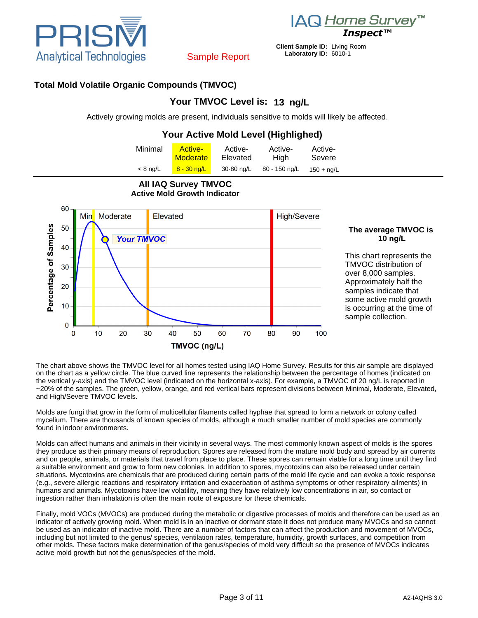

*IAQ Home Survey*<sup>™</sup><br>*Inspect™* 

**Client Sample ID:** Living Room **Laboratory ID:** 6010-1

# Sample Report

## **Total Mold Volatile Organic Compounds (TMVOC)**

# **Your TMVOC Level is: 13 ng/L**

Actively growing molds are present, individuals sensitive to molds will likely be affected.

# **Your Active Mold Level (Highlighed)**

| Minimal    | <b>Active-</b><br>Moderate | Active-<br>Elevated | Active-<br>Hiah | Active-<br>Severe   |  |
|------------|----------------------------|---------------------|-----------------|---------------------|--|
| $< 8$ ng/L | $8 - 30$ ng/L              | 30-80 ng/L          | 80 - 150 ng/L   | $150 + \text{na/L}$ |  |



**All IAQ Survey TMVOC Active Mold Growth Indicator**

#### **The average TMVOC is 10 ng/L**

This chart represents the TMVOC distribution of over 8,000 samples. Approximately half the samples indicate that some active mold growth is occurring at the time of sample collection.

The chart above shows the TMVOC level for all homes tested using IAQ Home Survey. Results for this air sample are displayed on the chart as a yellow circle. The blue curved line represents the relationship between the percentage of homes (indicated on the vertical y-axis) and the TMVOC level (indicated on the horizontal x-axis). For example, a TMVOC of 20 ng/L is reported in ~20% of the samples. The green, yellow, orange, and red vertical bars represent divisions between Minimal, Moderate, Elevated, and High/Severe TMVOC levels.

Molds are fungi that grow in the form of multicellular filaments called hyphae that spread to form a network or colony called mycelium. There are thousands of known species of molds, although a much smaller number of mold species are commonly found in indoor environments.

Molds can affect humans and animals in their vicinity in several ways. The most commonly known aspect of molds is the spores they produce as their primary means of reproduction. Spores are released from the mature mold body and spread by air currents and on people, animals, or materials that travel from place to place. These spores can remain viable for a long time until they find a suitable environment and grow to form new colonies. In addition to spores, mycotoxins can also be released under certain situations. Mycotoxins are chemicals that are produced during certain parts of the mold life cycle and can evoke a toxic response (e.g., severe allergic reactions and respiratory irritation and exacerbation of asthma symptoms or other respiratory ailments) in humans and animals. Mycotoxins have low volatility, meaning they have relatively low concentrations in air, so contact or ingestion rather than inhalation is often the main route of exposure for these chemicals.

Finally, mold VOCs (MVOCs) are produced during the metabolic or digestive processes of molds and therefore can be used as an indicator of actively growing mold. When mold is in an inactive or dormant state it does not produce many MVOCs and so cannot be used as an indicator of inactive mold. There are a number of factors that can affect the production and movement of MVOCs, including but not limited to the genus/ species, ventilation rates, temperature, humidity, growth surfaces, and competition from other molds. These factors make determination of the genus/species of mold very difficult so the presence of MVOCs indicates active mold growth but not the genus/species of the mold.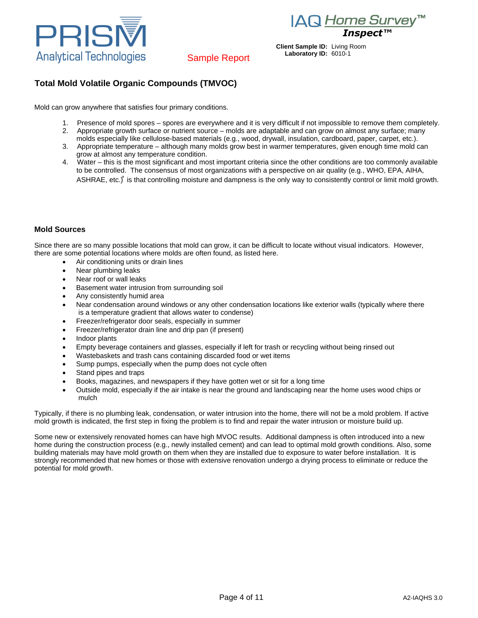

*IAQ Home Survey*<sup>™</sup><br>*Inspect*™

# Sample Report

# **Total Mold Volatile Organic Compounds (TMVOC)**

Mold can grow anywhere that satisfies four primary conditions.

- 1. Presence of mold spores spores are everywhere and it is very difficult if not impossible to remove them completely.
- 2. Appropriate growth surface or nutrient source molds are adaptable and can grow on almost any surface; many molds especially like cellulose-based materials (e.g., wood, drywall, insulation, cardboard, paper, carpet, etc.).
- 3. Appropriate temperature although many molds grow best in warmer temperatures, given enough time mold can grow at almost any temperature condition.
- 4. Water this is the most significant and most important criteria since the other conditions are too commonly available to be controlled. The consensus of most organizations with a perspective on air quality (e.g., WHO, EPA, AIHA, ASHRAE, etc.)<sup>®</sup> is that controlling moisture and dampness is the only way to consistently control or limit mold growth.

#### **Mold Sources**

Since there are so many possible locations that mold can grow, it can be difficult to locate without visual indicators. However, there are some potential locations where molds are often found, as listed here.

- Air conditioning units or drain lines
- Near plumbing leaks
- Near roof or wall leaks
- Basement water intrusion from surrounding soil
- Any consistently humid area
- Near condensation around windows or any other condensation locations like exterior walls (typically where there is a temperature gradient that allows water to condense)
- Freezer/refrigerator door seals, especially in summer
- Freezer/refrigerator drain line and drip pan (if present)
- Indoor plants
- Empty beverage containers and glasses, especially if left for trash or recycling without being rinsed out
- Wastebaskets and trash cans containing discarded food or wet items
- Sump pumps, especially when the pump does not cycle often
- Stand pipes and traps
- Books, magazines, and newspapers if they have gotten wet or sit for a long time
- Outside mold, especially if the air intake is near the ground and landscaping near the home uses wood chips or mulch

Typically, if there is no plumbing leak, condensation, or water intrusion into the home, there will not be a mold problem. If active mold growth is indicated, the first step in fixing the problem is to find and repair the water intrusion or moisture build up.

Some new or extensively renovated homes can have high MVOC results. Additional dampness is often introduced into a new home during the construction process (e.g., newly installed cement) and can lead to optimal mold growth conditions. Also, some building materials may have mold growth on them when they are installed due to exposure to water before installation. It is strongly recommended that new homes or those with extensive renovation undergo a drying process to eliminate or reduce the potential for mold growth.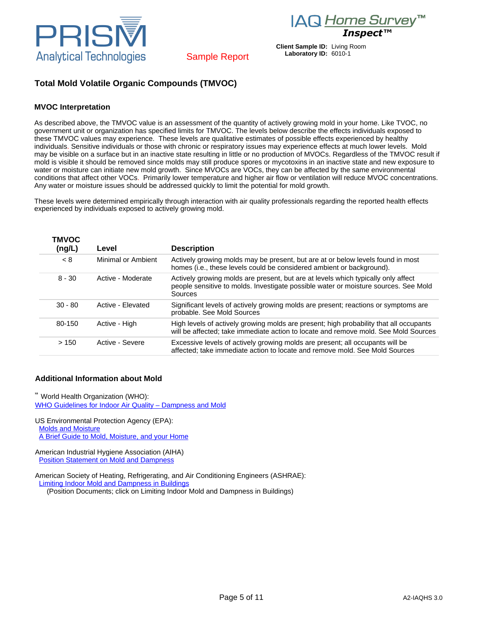

*IAQ Home Survey*™

Sample Report

## **Total Mold Volatile Organic Compounds (TMVOC)**

#### **MVOC Interpretation**

As described above, the TMVOC value is an assessment of the quantity of actively growing mold in your home. Like TVOC, no government unit or organization has specified limits for TMVOC. The levels below describe the effects individuals exposed to these TMVOC values may experience. These levels are qualitative estimates of possible effects experienced by healthy individuals. Sensitive individuals or those with chronic or respiratory issues may experience effects at much lower levels. Mold may be visible on a surface but in an inactive state resulting in little or no production of MVOCs. Regardless of the TMVOC result if mold is visible it should be removed since molds may still produce spores or mycotoxins in an inactive state and new exposure to water or moisture can initiate new mold growth. Since MVOCs are VOCs, they can be affected by the same environmental conditions that affect other VOCs. Primarily lower temperature and higher air flow or ventilation will reduce MVOC concentrations. Any water or moisture issues should be addressed quickly to limit the potential for mold growth.

These levels were determined empirically through interaction with air quality professionals regarding the reported health effects experienced by individuals exposed to actively growing mold.

| <b>TMVOC</b><br>(ng/L) | Level              | <b>Description</b>                                                                                                                                                                  |
|------------------------|--------------------|-------------------------------------------------------------------------------------------------------------------------------------------------------------------------------------|
| < 8                    | Minimal or Ambient | Actively growing molds may be present, but are at or below levels found in most<br>homes (i.e., these levels could be considered ambient or background).                            |
| $8 - 30$               | Active - Moderate  | Actively growing molds are present, but are at levels which typically only affect<br>people sensitive to molds. Investigate possible water or moisture sources. See Mold<br>Sources |
| $30 - 80$              | Active - Elevated  | Significant levels of actively growing molds are present; reactions or symptoms are<br>probable. See Mold Sources                                                                   |
| 80-150                 | Active - High      | High levels of actively growing molds are present; high probability that all occupants<br>will be affected; take immediate action to locate and remove mold. See Mold Sources       |
| >150                   | Active - Severe    | Excessive levels of actively growing molds are present; all occupants will be<br>affected; take immediate action to locate and remove mold. See Mold Sources                        |

#### **Additional Information about Mold**

a World Health Organization (WHO): [WHO Guidelines for Indoor Air Quality – Dampness and Mold](http://www.euro.who.int/__data/assets/pdf_file/0017/43325/E92645.pdf)

US Environmental Protection Agency (EPA): [Molds and Moisture](http://www.epa.gov/mold/) [A Brief Guide to Mold, Moisture, and your Home](http://www.epa.gov/mold/moldguide.html)

American Industrial Hygiene Association (AIHA) **Position Statement on Mold and Dampness** 

American Society of Heating, Refrigerating, and Air Conditioning Engineers (ASHRAE): [Limiting Indoor Mold and Dampness in Buildings](https://www.ashrae.org/about-ashrae/position-documents)

(Position Documents; click on Limiting Indoor Mold and Dampness in Buildings)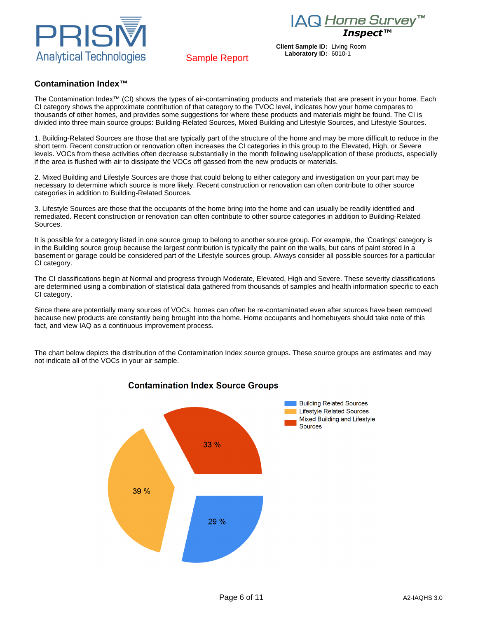IAQ Home Survey™





# Sample Report

**Client Sample ID:** Living Room **Laboratory ID:** 6010-1

#### **Contamination Index™**

The Contamination Index™ (CI) shows the types of air-contaminating products and materials that are present in your home. Each CI category shows the approximate contribution of that category to the TVOC level, indicates how your home compares to thousands of other homes, and provides some suggestions for where these products and materials might be found. The CI is divided into three main source groups: Building-Related Sources, Mixed Building and Lifestyle Sources, and Lifestyle Sources.

1. Building-Related Sources are those that are typically part of the structure of the home and may be more difficult to reduce in the short term. Recent construction or renovation often increases the CI categories in this group to the Elevated, High, or Severe levels. VOCs from these activities often decrease substantially in the month following use/application of these products, especially if the area is flushed with air to dissipate the VOCs off gassed from the new products or materials.

2. Mixed Building and Lifestyle Sources are those that could belong to either category and investigation on your part may be necessary to determine which source is more likely. Recent construction or renovation can often contribute to other source categories in addition to Building-Related Sources.

3. Lifestyle Sources are those that the occupants of the home bring into the home and can usually be readily identified and remediated. Recent construction or renovation can often contribute to other source categories in addition to Building-Related Sources.

It is possible for a category listed in one source group to belong to another source group. For example, the 'Coatings' category is in the Building source group because the largest contribution is typically the paint on the walls, but cans of paint stored in a basement or garage could be considered part of the Lifestyle sources group. Always consider all possible sources for a particular CI category.

The CI classifications begin at Normal and progress through Moderate, Elevated, High and Severe. These severity classifications are determined using a combination of statistical data gathered from thousands of samples and health information specific to each CI category.

Since there are potentially many sources of VOCs, homes can often be re-contaminated even after sources have been removed because new products are constantly being brought into the home. Home occupants and homebuyers should take note of this fact, and view IAQ as a continuous improvement process.

The chart below depicts the distribution of the Contamination Index source groups. These source groups are estimates and may not indicate all of the VOCs in your air sample.



# **Contamination Index Source Groups**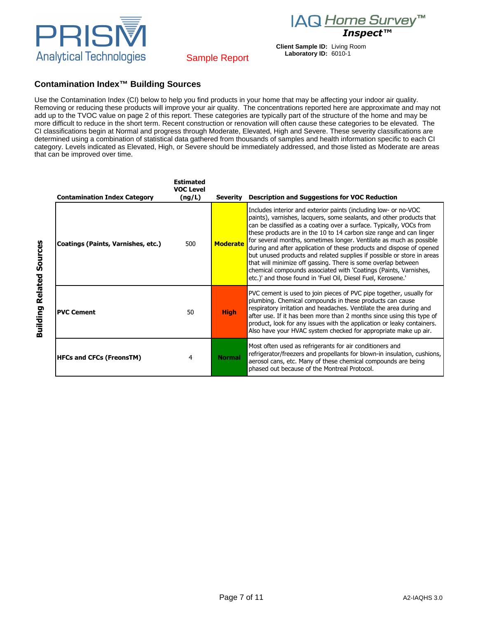IAQ Home Survey<sup>™</sup> *Inspect™*





# Sample Report

#### **Contamination Index™ Building Sources**

Use the Contamination Index (CI) below to help you find products in your home that may be affecting your indoor air quality. Removing or reducing these products will improve your air quality. The concentrations reported here are approximate and may not add up to the TVOC value on page 2 of this report. These categories are typically part of the structure of the home and may be more difficult to reduce in the short term. Recent construction or renovation will often cause these categories to be elevated. The CI classifications begin at Normal and progress through Moderate, Elevated, High and Severe. These severity classifications are determined using a combination of statistical data gathered from thousands of samples and health information specific to each CI category. Levels indicated as Elevated, High, or Severe should be immediately addressed, and those listed as Moderate are areas that can be improved over time.

| <b>Contamination Index Category</b> | <b>Estimated</b><br><b>VOC Level</b><br>(ng/L) |                 | Severity Description and Suggestions for VOC Reduction                                                                                                                                                                                                                                                                                                                                                                                                                                                                                                                                                                                                                                                              |
|-------------------------------------|------------------------------------------------|-----------------|---------------------------------------------------------------------------------------------------------------------------------------------------------------------------------------------------------------------------------------------------------------------------------------------------------------------------------------------------------------------------------------------------------------------------------------------------------------------------------------------------------------------------------------------------------------------------------------------------------------------------------------------------------------------------------------------------------------------|
| Coatings (Paints, Varnishes, etc.)  | 500                                            | <b>Moderate</b> | Includes interior and exterior paints (including low- or no-VOC<br>paints), varnishes, lacquers, some sealants, and other products that<br>can be classified as a coating over a surface. Typically, VOCs from<br>these products are in the 10 to 14 carbon size range and can linger<br>for several months, sometimes longer. Ventilate as much as possible<br>during and after application of these products and dispose of opened<br>but unused products and related supplies if possible or store in areas<br>that will minimize off gassing. There is some overlap between<br>chemical compounds associated with 'Coatings (Paints, Varnishes,<br>etc.)' and those found in 'Fuel Oil, Diesel Fuel, Kerosene.' |
| <b>PVC Cement</b>                   | 50                                             | <b>High</b>     | PVC cement is used to join pieces of PVC pipe together, usually for<br>plumbing. Chemical compounds in these products can cause<br>respiratory irritation and headaches. Ventilate the area during and<br>after use. If it has been more than 2 months since using this type of<br>product, look for any issues with the application or leaky containers.<br>Also have your HVAC system checked for appropriate make up air.                                                                                                                                                                                                                                                                                        |
| <b>HFCs and CFCs (FreonsTM)</b>     | 4                                              | <b>Normal</b>   | Most often used as refrigerants for air conditioners and<br>refrigerator/freezers and propellants for blown-in insulation, cushions,<br>aerosol cans, etc. Many of these chemical compounds are being<br>phased out because of the Montreal Protocol.                                                                                                                                                                                                                                                                                                                                                                                                                                                               |

**Building Related Sources Building Related Sources**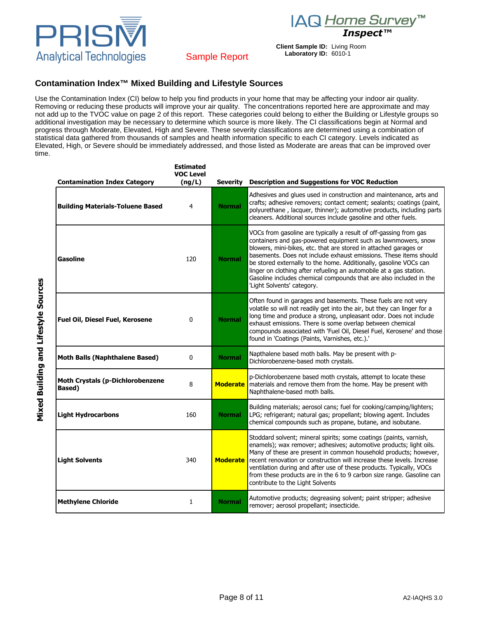

*Inspect™*

**Client Sample ID:** Living Room **Laboratory ID:** 6010-1



## Sample Report

#### **Contamination Index™ Mixed Building and Lifestyle Sources**

Use the Contamination Index (CI) below to help you find products in your home that may be affecting your indoor air quality. Removing or reducing these products will improve your air quality. The concentrations reported here are approximate and may not add up to the TVOC value on page 2 of this report. These categories could belong to either the Building or Lifestyle groups so additional investigation may be necessary to determine which source is more likely. The CI classifications begin at Normal and progress through Moderate, Elevated, High and Severe. These severity classifications are determined using a combination of statistical data gathered from thousands of samples and health information specific to each CI category. Levels indicated as Elevated, High, or Severe should be immediately addressed, and those listed as Moderate are areas that can be improved over time.

| <b>Contamination Index Category</b>                       | <b>Estimated</b><br><b>VOC Level</b><br>(ng/L) | Severity        | <b>Description and Suggestions for VOC Reduction</b>                                                                                                                                                                                                                                                                                                                                                                                                                                                                       |
|-----------------------------------------------------------|------------------------------------------------|-----------------|----------------------------------------------------------------------------------------------------------------------------------------------------------------------------------------------------------------------------------------------------------------------------------------------------------------------------------------------------------------------------------------------------------------------------------------------------------------------------------------------------------------------------|
| <b>Building Materials-Toluene Based</b>                   | 4                                              | <b>Normal</b>   | Adhesives and glues used in construction and maintenance, arts and<br>crafts; adhesive removers; contact cement; sealants; coatings (paint,<br>polyurethane, lacquer, thinner); automotive products, including parts<br>cleaners. Additional sources include gasoline and other fuels.                                                                                                                                                                                                                                     |
| Gasoline                                                  | 120                                            | <b>Normal</b>   | VOCs from gasoline are typically a result of off-gassing from gas<br>containers and gas-powered equipment such as lawnmowers, snow<br>blowers, mini-bikes, etc. that are stored in attached garages or<br>basements. Does not include exhaust emissions. These items should<br>be stored externally to the home. Additionally, gasoline VOCs can<br>linger on clothing after refueling an automobile at a gas station.<br>Gasoline includes chemical compounds that are also included in the<br>'Light Solvents' category. |
| <b>Fuel Oil, Diesel Fuel, Kerosene</b>                    | 0                                              | <b>Normal</b>   | Often found in garages and basements. These fuels are not very<br>volatile so will not readily get into the air, but they can linger for a<br>long time and produce a strong, unpleasant odor. Does not include<br>exhaust emissions. There is some overlap between chemical<br>compounds associated with 'Fuel Oil, Diesel Fuel, Kerosene' and those<br>found in 'Coatings (Paints, Varnishes, etc.).'                                                                                                                    |
| <b>Moth Balls (Naphthalene Based)</b>                     | $\mathbf{0}$                                   | <b>Normal</b>   | Napthalene based moth balls. May be present with p-<br>Dichlorobenzene-based moth crystals.                                                                                                                                                                                                                                                                                                                                                                                                                                |
| <b>Moth Crystals (p-Dichlorobenzene</b><br><b>Based</b> ) | 8                                              | <b>Moderate</b> | p-Dichlorobenzene based moth crystals, attempt to locate these<br>materials and remove them from the home. May be present with<br>Naphthalene-based moth balls.                                                                                                                                                                                                                                                                                                                                                            |
| <b>Light Hydrocarbons</b>                                 | 160                                            | <b>Normal</b>   | Building materials; aerosol cans; fuel for cooking/camping/lighters;<br>LPG; refrigerant; natural gas; propellant; blowing agent. Includes<br>chemical compounds such as propane, butane, and isobutane.                                                                                                                                                                                                                                                                                                                   |
| <b>Light Solvents</b>                                     | 340                                            | <b>Moderate</b> | Stoddard solvent; mineral spirits; some coatings (paints, varnish,<br>enamels); wax remover; adhesives; automotive products; light oils.<br>Many of these are present in common household products; however,<br>recent renovation or construction will increase these levels. Increase<br>ventilation during and after use of these products. Typically, VOCs<br>from these products are in the 6 to 9 carbon size range. Gasoline can<br>contribute to the Light Solvents                                                 |
| <b>Methylene Chloride</b>                                 | 1                                              | <b>Normal</b>   | Automotive products; degreasing solvent; paint stripper; adhesive<br>remover; aerosol propellant; insecticide.                                                                                                                                                                                                                                                                                                                                                                                                             |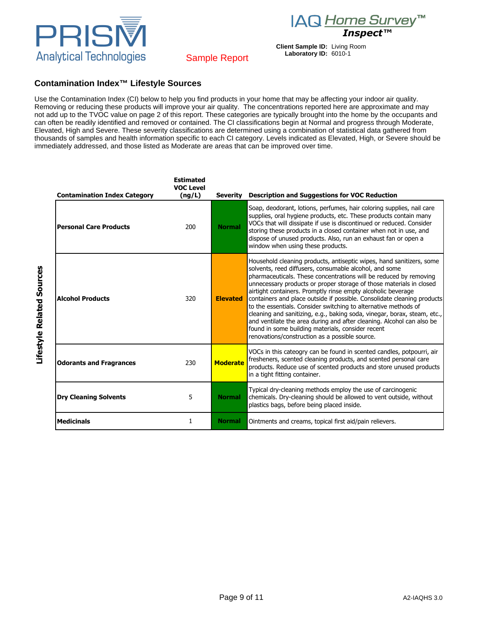IAQ Home Survey™





PRISN **Analytical Technologies** 

# **Contamination Index™ Lifestyle Sources**

Use the Contamination Index (CI) below to help you find products in your home that may be affecting your indoor air quality. Removing or reducing these products will improve your air quality. The concentrations reported here are approximate and may not add up to the TVOC value on page 2 of this report. These categories are typically brought into the home by the occupants and can often be readily identified and removed or contained. The CI classifications begin at Normal and progress through Moderate, Elevated, High and Severe. These severity classifications are determined using a combination of statistical data gathered from thousands of samples and health information specific to each CI category. Levels indicated as Elevated, High, or Severe should be immediately addressed, and those listed as Moderate are areas that can be improved over time.

| <b>Contamination Index Category</b> | <b>Estimated</b><br><b>VOC Level</b><br>(ng/L) | Severity        | <b>Description and Suggestions for VOC Reduction</b>                                                                                                                                                                                                                                                                                                                                                                                                                                                                                                                                                                                                                                                                                                 |
|-------------------------------------|------------------------------------------------|-----------------|------------------------------------------------------------------------------------------------------------------------------------------------------------------------------------------------------------------------------------------------------------------------------------------------------------------------------------------------------------------------------------------------------------------------------------------------------------------------------------------------------------------------------------------------------------------------------------------------------------------------------------------------------------------------------------------------------------------------------------------------------|
| <b>Personal Care Products</b>       | 200                                            | <b>Normal</b>   | Soap, deodorant, lotions, perfumes, hair coloring supplies, nail care<br>supplies, oral hygiene products, etc. These products contain many<br>VOCs that will dissipate if use is discontinued or reduced. Consider<br>storing these products in a closed container when not in use, and<br>dispose of unused products. Also, run an exhaust fan or open a<br>window when using these products.                                                                                                                                                                                                                                                                                                                                                       |
| <b>Alcohol Products</b>             | 320                                            | <b>Elevated</b> | Household cleaning products, antiseptic wipes, hand sanitizers, some<br>solvents, reed diffusers, consumable alcohol, and some<br>pharmaceuticals. These concentrations will be reduced by removing<br>unnecessary products or proper storage of those materials in closed<br>airtight containers. Promptly rinse empty alcoholic beverage<br>containers and place outside if possible. Consolidate cleaning products<br>to the essentials. Consider switching to alternative methods of<br>cleaning and sanitizing, e.g., baking soda, vinegar, borax, steam, etc.,<br>and ventilate the area during and after cleaning. Alcohol can also be<br>found in some building materials, consider recent<br>renovations/construction as a possible source. |
| <b>Odorants and Fragrances</b>      | 230                                            | <b>Moderate</b> | VOCs in this cateogry can be found in scented candles, potpourri, air<br>fresheners, scented cleaning products, and scented personal care<br>products. Reduce use of scented products and store unused products<br>in a tight fitting container.                                                                                                                                                                                                                                                                                                                                                                                                                                                                                                     |
| <b>Dry Cleaning Solvents</b>        | 5                                              | <b>Normal</b>   | Typical dry-cleaning methods employ the use of carcinogenic<br>chemicals. Dry-cleaning should be allowed to vent outside, without<br>plastics bags, before being placed inside.                                                                                                                                                                                                                                                                                                                                                                                                                                                                                                                                                                      |
| <b>Medicinals</b>                   | 1                                              | <b>Normal</b>   | Ointments and creams, topical first aid/pain relievers.                                                                                                                                                                                                                                                                                                                                                                                                                                                                                                                                                                                                                                                                                              |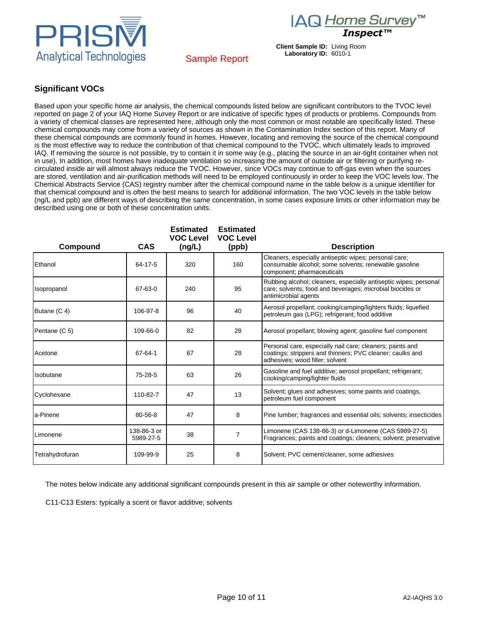





# Sample Report

## **Significant VOCs**

Based upon your specific home air analysis, the chemical compounds listed below are significant contributors to the TVOC level reported on page 2 of your IAQ Home Survey Report or are indicative of specific types of products or problems. Compounds from a variety of chemical classes are represented here, although only the most common or most notable are specifically listed. These chemical compounds may come from a variety of sources as shown in the Contamination Index section of this report. Many of these chemical compounds are commonly found in homes. However, locating and removing the source of the chemical compound is the most effective way to reduce the contribution of that chemical compound to the TVOC, which ultimately leads to improved IAQ. If removing the source is not possible, try to contain it in some way (e.g., placing the source in an air-tight container when not in use). In addition, most homes have inadequate ventilation so increasing the amount of outside air or filtering or purifying recirculated inside air will almost always reduce the TVOC. However, since VOCs may continue to off-gas even when the sources are stored, ventilation and air-purification methods will need to be employed continuously in order to keep the VOC levels low. The Chemical Abstracts Service (CAS) registry number after the chemical compound name in the table below is a unique identifier for that chemical compound and is often the best means to search for additional information. The two VOC levels in the table below (ng/L and ppb) are different ways of describing the same concentration, in some cases exposure limits or other information may be described using one or both of these concentration units.

| Compound        | <b>CAS</b>               | <b>Estimated</b><br><b>VOC Level</b><br>(ng/L) | <b>Estimated</b><br><b>VOC Level</b><br>(ppb) | <b>Description</b>                                                                                                                                        |
|-----------------|--------------------------|------------------------------------------------|-----------------------------------------------|-----------------------------------------------------------------------------------------------------------------------------------------------------------|
| Ethanol         | 64-17-5                  | 320                                            | 160                                           | Cleaners, especially antiseptic wipes; personal care;<br>consumable alcohol; some solvents; renewable gasoline<br>component; pharmaceuticals              |
| Isopropanol     | 67-63-0                  | 240                                            | 95                                            | Rubbing alcohol; cleaners, especially antiseptic wipes; personal<br>care; solvents; food and beverages; microbial biocides or<br>antimicrobial agents     |
| Butane (C 4)    | 106-97-8                 | 96                                             | 40                                            | Aerosol propellant; cooking/camping/lighters fluids; liquefied<br>petroleum gas (LPG); refrigerant; food additive                                         |
| Pentane (C 5)   | 109-66-0                 | 82                                             | 28                                            | Aerosol propellant; blowing agent; gasoline fuel component                                                                                                |
| Acetone         | 67-64-1                  | 67                                             | 28                                            | Personal care, especially nail care; cleaners; paints and<br>coatings; strippers and thinners; PVC cleaner; caulks and<br>adhesives; wood filler; solvent |
| Isobutane       | $75 - 28 - 5$            | 63                                             | 26                                            | Gasoline and fuel additive; aerosol propellant; refrigerant;<br>cooking/camping/lighter fluids                                                            |
| Cyclohexane     | 110-82-7                 | 47                                             | 13                                            | Solvent; glues and adhesives; some paints and coatings,<br>petroleum fuel component                                                                       |
| a-Pinene        | 80-56-8                  | 47                                             | 8                                             | Pine lumber; fragrances and essential oils; solvents; insecticides                                                                                        |
| Limonene        | 138-86-3 or<br>5989-27-5 | 38                                             | $\overline{7}$                                | Limonene (CAS 138-86-3) or d-Limonene (CAS 5989-27-5)<br>Fragrances; paints and coatings; cleaners; solvent; preservative                                 |
| Tetrahydrofuran | 109-99-9                 | 25                                             | 8                                             | Solvent; PVC cement/cleaner, some adhesives                                                                                                               |

The notes below indicate any additional significant compounds present in this air sample or other noteworthy information.

C11-C13 Esters: typically a scent or flavor additive; solvents